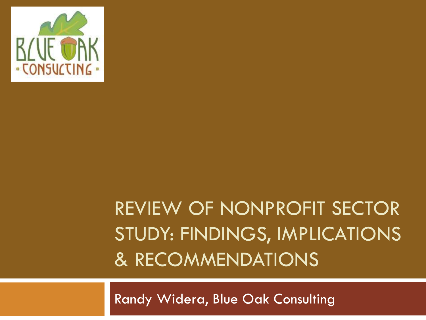

## REVIEW OF NONPROFIT SECTOR STUDY: FINDINGS, IMPLICATIONS & RECOMMENDATIONS

Randy Widera, Blue Oak Consulting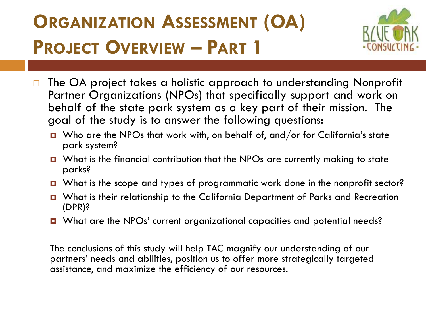## **ORGANIZATION ASSESSMENT (OA) PROJECT OVERVIEW – PART 1**



- □ The OA project takes a holistic approach to understanding Nonprofit Partner Organizations (NPOs) that specifically support and work on behalf of the state park system as a key part of their mission. The goal of the study is to answer the following questions:
	- Who are the NPOs that work with, on behalf of, and/or for California's state park system?
	- What is the financial contribution that the NPOs are currently making to state parks?
	- What is the scope and types of programmatic work done in the nonprofit sector?
	- What is their relationship to the California Department of Parks and Recreation (DPR)?
	- What are the NPOs' current organizational capacities and potential needs?

The conclusions of this study will help TAC magnify our understanding of our partners' needs and abilities, position us to offer more strategically targeted assistance, and maximize the efficiency of our resources.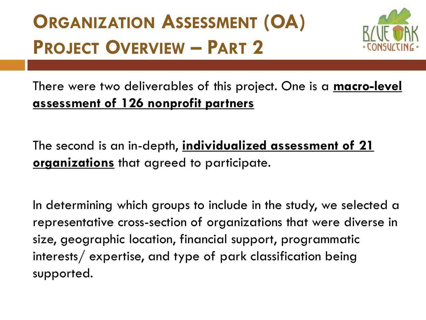## **ORGANIZATION ASSESSMENT (OA) PROJECT OVERVIEW – PART 2**



#### There were two deliverables of this project. One is a **macro-level assessment of 126 nonprofit partners**

The second is an in-depth, **individualized assessment of 21 organizations** that agreed to participate.

In determining which groups to include in the study, we selected a representative cross-section of organizations that were diverse in size, geographic location, financial support, programmatic interests/ expertise, and type of park classification being supported.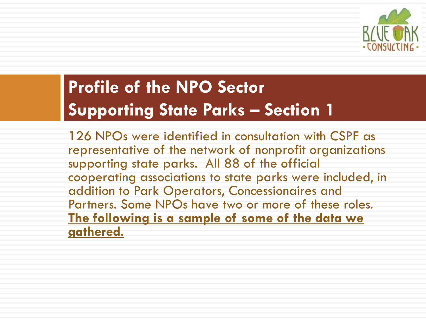

### **Profile of the NPO Sector Supporting State Parks – Section 1**

126 NPOs were identified in consultation with CSPF as representative of the network of nonprofit organizations supporting state parks. All 88 of the official cooperating associations to state parks were included, in addition to Park Operators, Concessionaires and Partners. Some NPOs have two or more of these roles. **The following is a sample of some of the data we gathered.**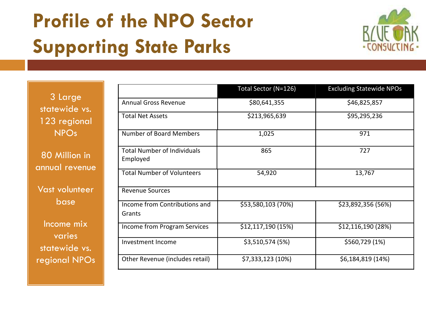## **Profile of the NPO Sector Supporting State Parks**



| 3 Large       |
|---------------|
| statewide vs. |
| 123 regional  |
| <b>NPOs</b>   |

80 Million in annual revenue

Vast volunteer base

Income mix varies statewide vs. regional NPOs

|                                                | Total Sector (N=126) | <b>Excluding Statewide NPOs</b> |
|------------------------------------------------|----------------------|---------------------------------|
| <b>Annual Gross Revenue</b>                    | \$80,641,355         | \$46,825,857                    |
| <b>Total Net Assets</b>                        | \$213,965,639        | \$95,295,236                    |
| <b>Number of Board Members</b>                 | 1,025                | 971                             |
| <b>Total Number of Individuals</b><br>Employed | 865                  | 727                             |
| <b>Total Number of Volunteers</b>              | 54,920               | 13,767                          |
| <b>Revenue Sources</b>                         |                      |                                 |
| Income from Contributions and<br>Grants        | \$53,580,103 (70%)   | \$23,892,356 (56%)              |
| Income from Program Services                   | \$12,117,190 (15%)   | \$12,116,190 (28%)              |
| Investment Income                              | \$3,510,574 (5%)     | \$560,729 (1%)                  |
| Other Revenue (includes retail)                | \$7,333,123 (10%)    | \$6,184,819 (14%)               |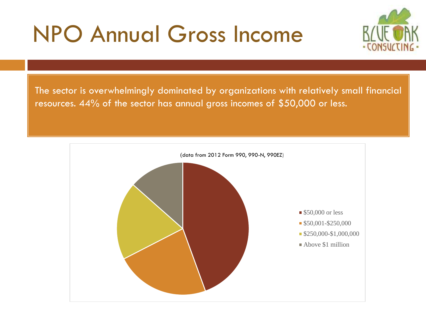# NPO Annual Gross Income



The sector is overwhelmingly dominated by organizations with relatively small financial resources. 44% of the sector has annual gross incomes of \$50,000 or less.

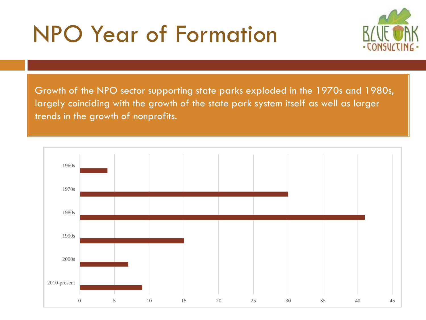# NPO Year of Formation



Growth of the NPO sector supporting state parks exploded in the 1970s and 1980s, largely coinciding with the growth of the state park system itself as well as larger trends in the growth of nonprofits.

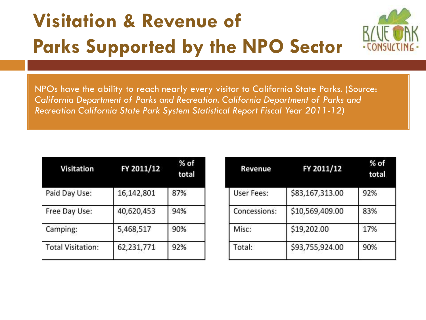## **Visitation & Revenue of Parks Supported by the NPO Sector**



NPOs have the ability to reach nearly every visitor to California State Parks. (Source: *California Department of Parks and Recreation. California Department of Parks and Recreation California State Park System Statistical Report Fiscal Year 2011-12)*

| <b>Visitation</b>        | FY 2011/12 | $%$ of<br>total |
|--------------------------|------------|-----------------|
| Paid Day Use:            | 16,142,801 | 87%             |
| Free Day Use:            | 40,620,453 | 94%             |
| Camping:                 | 5,468,517  | 90%             |
| <b>Total Visitation:</b> | 62,231,771 | 92%             |

| Revenue           | FY 2011/12      | % of<br>total |  |
|-------------------|-----------------|---------------|--|
| <b>User Fees:</b> | \$83,167,313.00 | 92%           |  |
| Concessions:      | \$10,569,409.00 | 83%           |  |
| Misc:             | \$19,202.00     | 17%           |  |
| Total:            | \$93,755,924.00 | 90%           |  |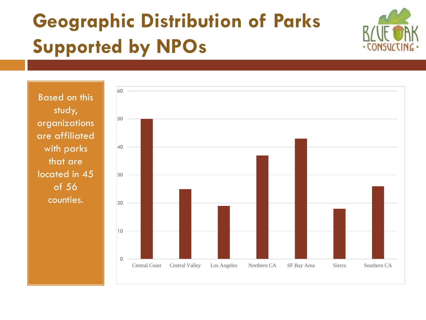## **Geographic Distribution of Parks Supported by NPOs**



Based on this study, organizations are affiliated with parks that are located in 45 of 56 counties.

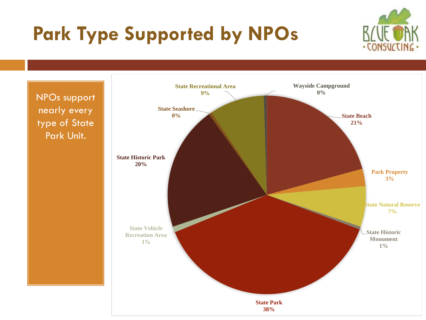## **Park Type Supported by NPOs**



NPOs support nearly every type of State Park Unit.

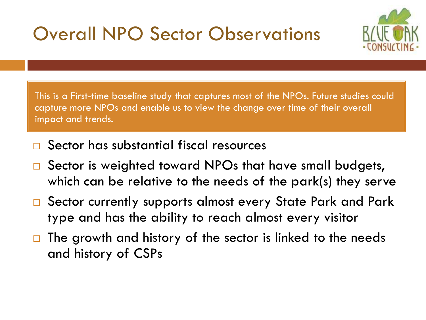### Overall NPO Sector Observations



This is a First-time baseline study that captures most of the NPOs. Future studies could capture more NPOs and enable us to view the change over time of their overall impact and trends.

- Sector has substantial fiscal resources
- □ Sector is weighted toward NPOs that have small budgets, which can be relative to the needs of the park(s) they serve
- □ Sector currently supports almost every State Park and Park type and has the ability to reach almost every visitor
- $\Box$  The growth and history of the sector is linked to the needs and history of CSPs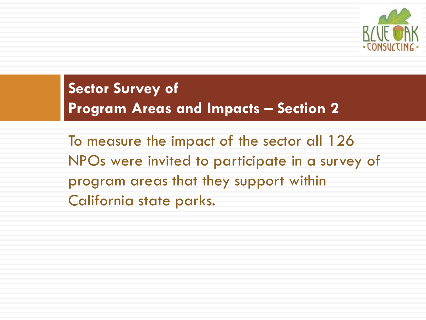

### **Sector Survey of Program Areas and Impacts – Section 2**

To measure the impact of the sector all 126 NPOs were invited to participate in a survey of program areas that they support within California state parks.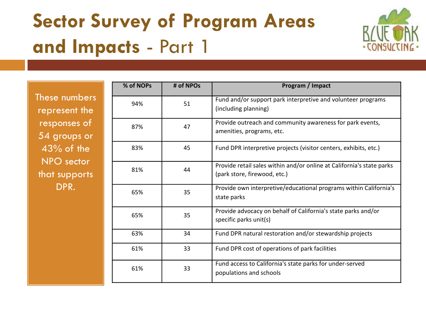## **Sector Survey of Program Areas and Impacts** - Part 1



These numbers represent the responses of 54 groups or 43% of the NPO sector that supports DPR.

| % of NOPs | # of NPOs | Program / Impact                                                                                      |
|-----------|-----------|-------------------------------------------------------------------------------------------------------|
| 94%       | 51        | Fund and/or support park interpretive and volunteer programs<br>(including planning)                  |
| 87%       | 47        | Provide outreach and community awareness for park events,<br>amenities, programs, etc.                |
| 83%       | 45        | Fund DPR interpretive projects (visitor centers, exhibits, etc.)                                      |
| 81%       | 44        | Provide retail sales within and/or online at California's state parks<br>(park store, firewood, etc.) |
| 65%       | 35        | Provide own interpretive/educational programs within California's<br>state parks                      |
| 65%       | 35        | Provide advocacy on behalf of California's state parks and/or<br>specific parks unit(s)               |
| 63%       | 34        | Fund DPR natural restoration and/or stewardship projects                                              |
| 61%       | 33        | Fund DPR cost of operations of park facilities                                                        |
| 61%       | 33        | Fund access to California's state parks for under-served<br>populations and schools                   |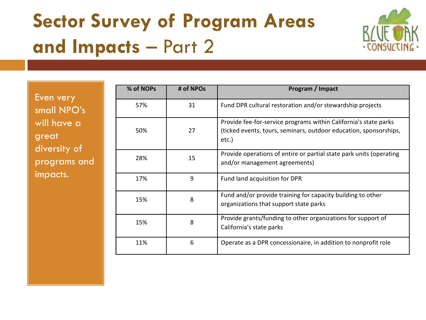## **Sector Survey of Program Areas and Impacts** – Part 2



Even very small NPO's will have a great diversity of programs and impacts.

| % of NOPs | # of NPOs | Program / Impact                                                                                                                               |
|-----------|-----------|------------------------------------------------------------------------------------------------------------------------------------------------|
| 57%       | 31        | Fund DPR cultural restoration and/or stewardship projects                                                                                      |
| 50%       | 27        | Provide fee-for-service programs within California's state parks<br>(ticked events, tours, seminars, outdoor education, sponsorships,<br>etc.) |
| 28%       | 15        | Provide operations of entire or partial state park units (operating<br>and/or management agreements)                                           |
| 17%       | 9         | Fund land acquisition for DPR                                                                                                                  |
| 15%       | 8         | Fund and/or provide training for capacity building to other<br>organizations that support state parks                                          |
| 15%       | 8         | Provide grants/funding to other organizations for support of<br>California's state parks                                                       |
| 11%       | 6         | Operate as a DPR concessionaire, in addition to nonprofit role                                                                                 |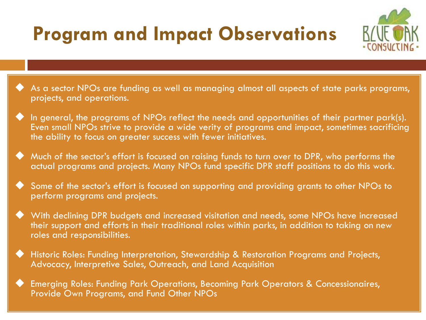## **Program and Impact Observations**



- As a sector NPOs are funding as well as managing almost all aspects of state parks programs, projects, and operations.
- In general, the programs of NPOs reflect the needs and opportunities of their partner park(s). Even small NPOs strive to provide a wide verity of programs and impact, sometimes sacrificing the ability to focus on greater success with fewer initiatives.
- Much of the sector's effort is focused on raising funds to turn over to DPR, who performs the actual programs and projects. Many NPOs fund specific DPR staff positions to do this work.
- Some of the sector's effort is focused on supporting and providing grants to other NPOs to perform programs and projects.
- With declining DPR budgets and increased visitation and needs, some NPOs have increased their support and efforts in their traditional roles within parks, in addition to taking on new roles and responsibilities.
- Historic Roles: Funding Interpretation, Stewardship & Restoration Programs and Projects, Advocacy, Interpretive Sales, Outreach, and Land Acquisition
- Emerging Roles: Funding Park Operations, Becoming Park Operators & Concessionaires, Provide Own Programs, and Fund Other NPOs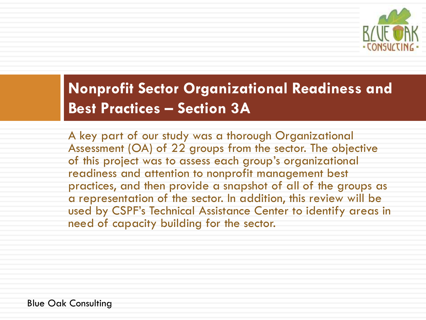

### **Nonprofit Sector Organizational Readiness and Best Practices – Section 3A**

A key part of our study was a thorough Organizational Assessment (OA) of 22 groups from the sector. The objective of this project was to assess each group's organizational readiness and attention to nonprofit management best practices, and then provide a snapshot of all of the groups as a representation of the sector. In addition, this review will be used by CSPF's Technical Assistance Center to identify areas in need of capacity building for the sector.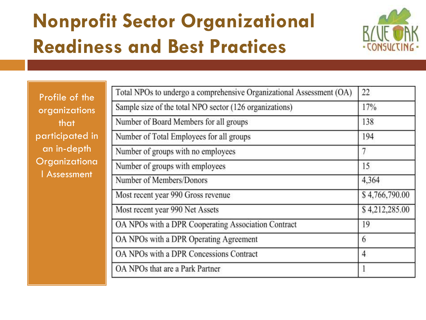## **Nonprofit Sector Organizational Readiness and Best Practices**



Profile of the organizations that participated in an in-depth **Organizationa** l Assessment

| Total NPOs to undergo a comprehensive Organizational Assessment (OA) | 22             |
|----------------------------------------------------------------------|----------------|
| Sample size of the total NPO sector (126 organizations)              | 17%            |
| Number of Board Members for all groups                               | 138            |
| Number of Total Employees for all groups                             | 194            |
| Number of groups with no employees                                   | 7              |
| Number of groups with employees                                      | 15             |
| Number of Members/Donors                                             | 4,364          |
| Most recent year 990 Gross revenue                                   | \$4,766,790.00 |
| Most recent year 990 Net Assets                                      | \$4,212,285.00 |
| OA NPOs with a DPR Cooperating Association Contract                  | 19             |
| OA NPOs with a DPR Operating Agreement                               | 6              |
| OA NPOs with a DPR Concessions Contract                              | $\overline{4}$ |
| OA NPOs that are a Park Partner                                      | 1              |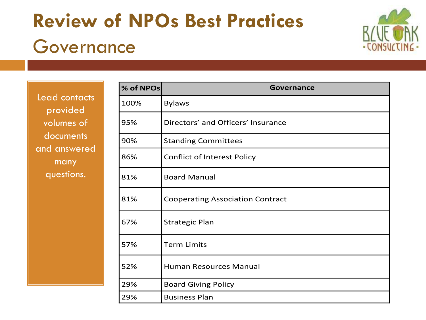## **Review of NPOs Best Practices** Governance



Lead contacts provided volumes of documents and answered many questions.

| % of NPOs | Governance                              |
|-----------|-----------------------------------------|
| 100%      | <b>Bylaws</b>                           |
| 95%       | Directors' and Officers' Insurance      |
| 90%       | <b>Standing Committees</b>              |
| 86%       | <b>Conflict of Interest Policy</b>      |
| 81%       | <b>Board Manual</b>                     |
| 81%       | <b>Cooperating Association Contract</b> |
| 67%       | <b>Strategic Plan</b>                   |
| 57%       | <b>Term Limits</b>                      |
| 52%       | Human Resources Manual                  |
| 29%       | <b>Board Giving Policy</b>              |
| 29%       | <b>Business Plan</b>                    |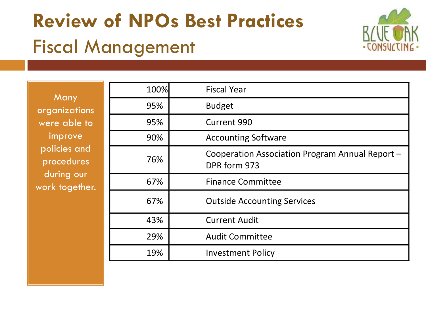# **Review of NPOs Best Practices** Fiscal Management



**Many** organizations were able to improve policies and procedures during our work together.

| 100% | <b>Fiscal Year</b>                                              |
|------|-----------------------------------------------------------------|
| 95%  | <b>Budget</b>                                                   |
| 95%  | <b>Current 990</b>                                              |
| 90%  | <b>Accounting Software</b>                                      |
| 76%  | Cooperation Association Program Annual Report -<br>DPR form 973 |
| 67%  | <b>Finance Committee</b>                                        |
| 67%  | <b>Outside Accounting Services</b>                              |
| 43%  | <b>Current Audit</b>                                            |
| 29%  | <b>Audit Committee</b>                                          |
| 19%  | <b>Investment Policy</b>                                        |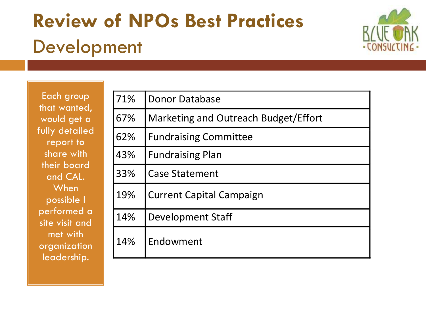## **Review of NPOs Best Practices** Development



Each group that wanted, would get a fully detailed report to share with their board and CAL. **When** possible I performed a site visit and met with organization leadership.

| 71% | <b>Donor Database</b>                |
|-----|--------------------------------------|
| 67% | Marketing and Outreach Budget/Effort |
| 62% | <b>Fundraising Committee</b>         |
| 43% | <b>Fundraising Plan</b>              |
| 33% | <b>Case Statement</b>                |
| 19% | <b>Current Capital Campaign</b>      |
| 14% | Development Staff                    |
| 14% | Endowment                            |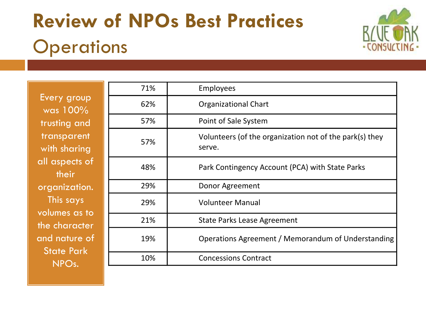## **Review of NPOs Best Practices Operations**



Every group was 100% trusting and transparent with sharing all aspects of their organization. This says volumes as to the character and nature of State Park NPOs.

| 71% | <b>Employees</b>                                                  |
|-----|-------------------------------------------------------------------|
| 62% | <b>Organizational Chart</b>                                       |
| 57% | Point of Sale System                                              |
| 57% | Volunteers (of the organization not of the park(s) they<br>serve. |
| 48% | Park Contingency Account (PCA) with State Parks                   |
| 29% | Donor Agreement                                                   |
| 29% | <b>Volunteer Manual</b>                                           |
| 21% | <b>State Parks Lease Agreement</b>                                |
| 19% | Operations Agreement / Memorandum of Understanding                |
| 10% | <b>Concessions Contract</b>                                       |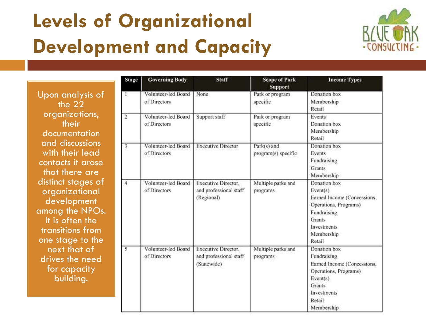## **Levels of Organizational Development and Capacity**



Upon analysis of the 22 organizations, their documentation and discussions with their lead contacts it arose that there are distinct stages of organizational development among the NPOs. It is often the transitions from one stage to the next that of drives the need for capacity building.

| <b>Stage</b>   | <b>Governing Body</b>               | <b>Staff</b>                                                        | <b>Scope of Park</b><br><b>Support</b> | <b>Income Types</b>                                                                                                                                     |
|----------------|-------------------------------------|---------------------------------------------------------------------|----------------------------------------|---------------------------------------------------------------------------------------------------------------------------------------------------------|
| -1             | Volunteer-led Board<br>of Directors | None                                                                | Park or program<br>specific            | Donation box<br>Membership<br>Retail                                                                                                                    |
| $\overline{2}$ | Volunteer-led Board<br>of Directors | Support staff                                                       | Park or program<br>specific            | Events<br>Donation box<br>Membership<br>Retail                                                                                                          |
| $\overline{3}$ | Volunteer-led Board<br>of Directors | <b>Executive Director</b>                                           | Park(s) and<br>program(s) specific     | Donation box<br>Events<br>Fundraising<br><b>Grants</b><br>Membership                                                                                    |
| $\overline{4}$ | Volunteer-led Board<br>of Directors | Executive Director,<br>and professional staff<br>(Regional)         | Multiple parks and<br>programs         | Donation box<br>Event(s)<br>Earned Income (Concessions,<br>Operations, Programs)<br>Fundraising<br>Grants<br>Investments<br>Membership<br>Retail        |
| $\overline{5}$ | Volunteer-led Board<br>of Directors | <b>Executive Director,</b><br>and professional staff<br>(Statewide) | Multiple parks and<br>programs         | Donation box<br>Fundraising<br>Earned Income (Concessions,<br>Operations, Programs)<br>Event(s)<br><b>Grants</b><br>Investments<br>Retail<br>Membership |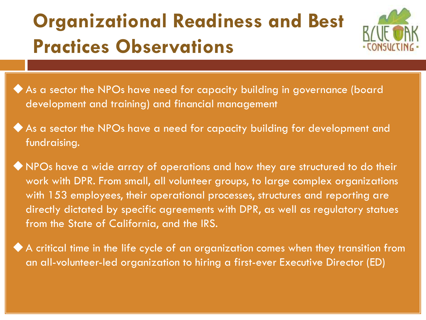## **Organizational Readiness and Best Practices Observations**



- As a sector the NPOs have need for capacity building in governance (board development and training) and financial management
- As a sector the NPOs have a need for capacity building for development and fundraising.

NPOs have a wide array of operations and how they are structured to do their work with DPR. From small, all volunteer groups, to large complex organizations with 153 employees, their operational processes, structures and reporting are directly dictated by specific agreements with DPR, as well as regulatory statues from the State of California, and the IRS.

A critical time in the life cycle of an organization comes when they transition from an all-volunteer-led organization to hiring a first-ever Executive Director (ED)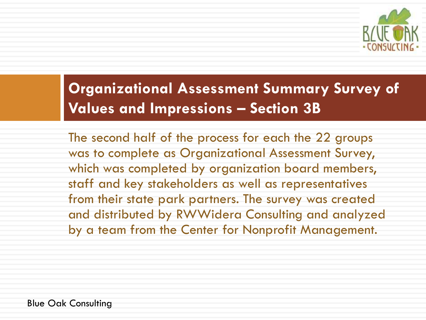

### **Organizational Assessment Summary Survey of Values and Impressions – Section 3B**

The second half of the process for each the 22 groups was to complete as Organizational Assessment Survey, which was completed by organization board members, staff and key stakeholders as well as representatives from their state park partners. The survey was created and distributed by RWWidera Consulting and analyzed by a team from the Center for Nonprofit Management.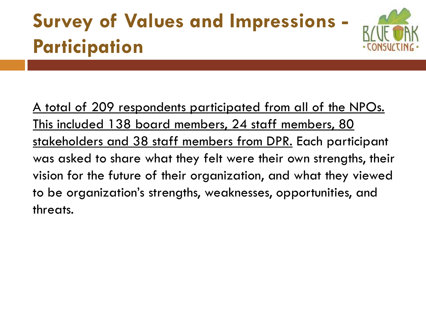# **Survey of Values and Impressions - Participation**



A total of 209 respondents participated from all of the NPOs. This included 138 board members, 24 staff members, 80 stakeholders and 38 staff members from DPR. Each participant was asked to share what they felt were their own strengths, their vision for the future of their organization, and what they viewed to be organization's strengths, weaknesses, opportunities, and threats.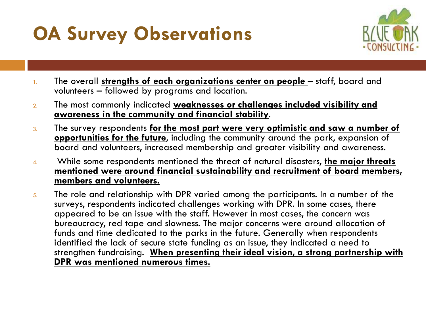## **OA Survey Observations**



- 1. The overall **strengths of each organizations center on people**  staff, board and volunteers – followed by programs and location.
- 2. The most commonly indicated **weaknesses or challenges included visibility and awareness in the community and financial stability**.
- 3. The survey respondents **for the most part were very optimistic and saw a number of opportunities for the future**, including the community around the park, expansion of board and volunteers, increased membership and greater visibility and awareness.
- 4. While some respondents mentioned the threat of natural disasters, **the major threats mentioned were around financial sustainability and recruitment of board members, members and volunteers.**
- 5. The role and relationship with DPR varied among the participants. In a number of the surveys, respondents indicated challenges working with DPR. In some cases, there appeared to be an issue with the staff. However in most cases, the concern was bureaucracy, red tape and slowness. The major concerns were around allocation of funds and time dedicated to the parks in the future. Generally when respondents identified the lack of secure state funding as an issue, they indicated a need to strengthen fundraising. **When presenting their ideal vision, a strong partnership with DPR was mentioned numerous times.**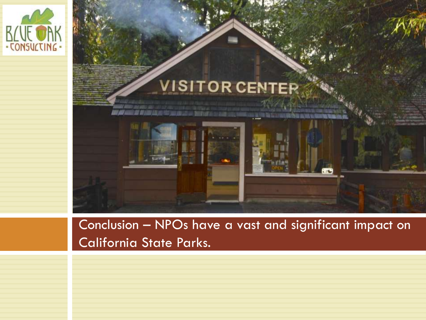



Conclusion – NPOs have a vast and significant impact on California State Parks.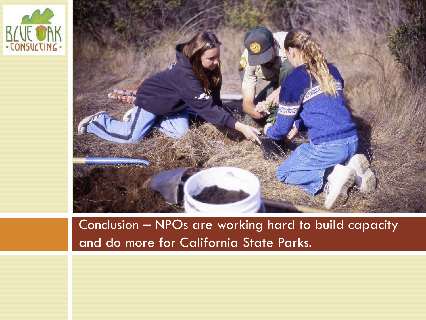



Conclusion – NPOs are working hard to build capacity and do more for California State Parks.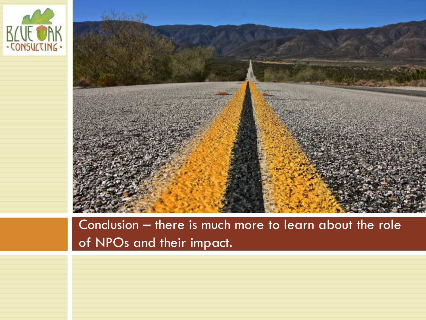



#### Conclusion – there is much more to learn about the role of NPOs and their impact.